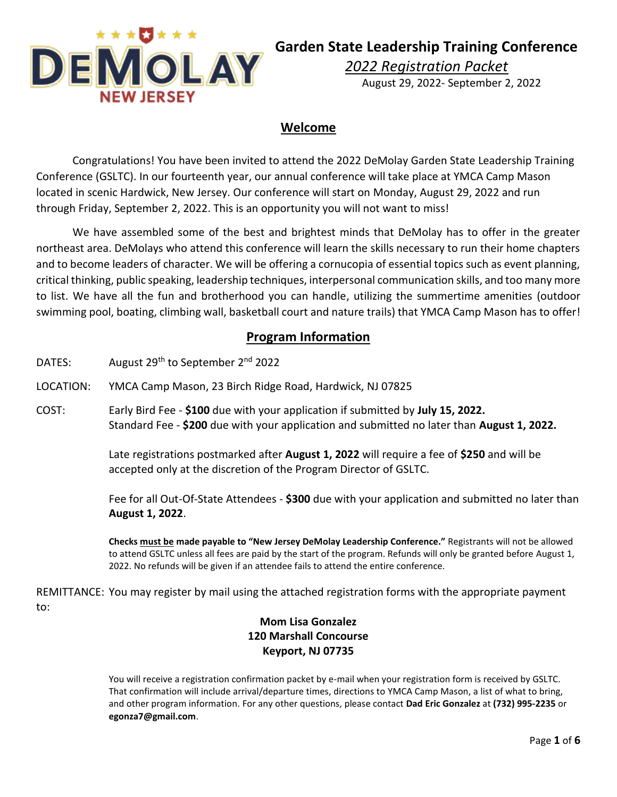

# **Garden State Leadership Training Conference**

*2022 Registration Packet*

August 29, 2022- September 2, 2022

## **Welcome**

Congratulations! You have been invited to attend the 2022 DeMolay Garden State Leadership Training Conference (GSLTC). In our fourteenth year, our annual conference will take place at YMCA Camp Mason located in scenic Hardwick, New Jersey. Our conference will start on Monday, August 29, 2022 and run through Friday, September 2, 2022. This is an opportunity you will not want to miss!

We have assembled some of the best and brightest minds that DeMolay has to offer in the greater northeast area. DeMolays who attend this conference will learn the skills necessary to run their home chapters and to become leaders of character. We will be offering a cornucopia of essential topics such as event planning, critical thinking, public speaking, leadership techniques, interpersonal communication skills, and too many more to list. We have all the fun and brotherhood you can handle, utilizing the summertime amenities (outdoor swimming pool, boating, climbing wall, basketball court and nature trails) that YMCA Camp Mason has to offer!

#### **Program Information**

- DATES: August 29<sup>th</sup> to September 2<sup>nd</sup> 2022
- LOCATION: YMCA Camp Mason, 23 Birch Ridge Road, Hardwick, NJ 07825
- COST: Early Bird Fee **\$100** due with your application if submitted by **July 15, 2022.** Standard Fee - **\$200** due with your application and submitted no later than **August 1, 2022.**

Late registrations postmarked after **August 1, 2022** will require a fee of **\$250** and will be accepted only at the discretion of the Program Director of GSLTC.

Fee for all Out-Of-State Attendees - **\$300** due with your application and submitted no later than **August 1, 2022**.

**Checks must be made payable to "New Jersey DeMolay Leadership Conference."** Registrants will not be allowed to attend GSLTC unless all fees are paid by the start of the program. Refunds will only be granted before August 1, 2022. No refunds will be given if an attendee fails to attend the entire conference.

REMITTANCE: You may register by mail using the attached registration forms with the appropriate payment to:

### **Mom Lisa Gonzalez 120 Marshall Concourse Keyport, NJ 07735**

You will receive a registration confirmation packet by e-mail when your registration form is received by GSLTC. That confirmation will include arrival/departure times, directions to YMCA Camp Mason, a list of what to bring, and other program information. For any other questions, please contact **Dad Eric Gonzalez** at **(732) 995-2235** or **egonza7@gmail.com**.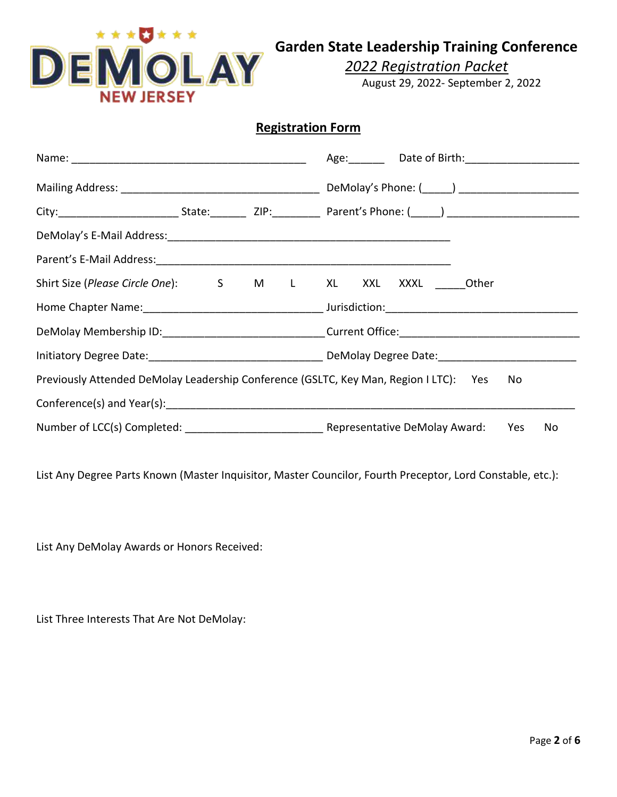

**Garden State Leadership Training Conference**

*2022 Registration Packet*

August 29, 2022- September 2, 2022

## **Registration Form**

|                                                                                                                                                                                                                                |  | Age: Date of Birth: 1990 March 2014 |                                                                                             |  |
|--------------------------------------------------------------------------------------------------------------------------------------------------------------------------------------------------------------------------------|--|-------------------------------------|---------------------------------------------------------------------------------------------|--|
|                                                                                                                                                                                                                                |  |                                     |                                                                                             |  |
|                                                                                                                                                                                                                                |  |                                     |                                                                                             |  |
|                                                                                                                                                                                                                                |  |                                     |                                                                                             |  |
|                                                                                                                                                                                                                                |  |                                     |                                                                                             |  |
|                                                                                                                                                                                                                                |  |                                     | Shirt Size (Please Circle One): S M L XL XXL XXXL Other                                     |  |
|                                                                                                                                                                                                                                |  |                                     |                                                                                             |  |
|                                                                                                                                                                                                                                |  |                                     |                                                                                             |  |
|                                                                                                                                                                                                                                |  |                                     |                                                                                             |  |
|                                                                                                                                                                                                                                |  |                                     | Previously Attended DeMolay Leadership Conference (GSLTC, Key Man, Region I LTC): Yes<br>No |  |
| Conference(s) and Year(s): example and the set of the set of the set of the set of the set of the set of the set of the set of the set of the set of the set of the set of the set of the set of the set of the set of the set |  |                                     |                                                                                             |  |
|                                                                                                                                                                                                                                |  |                                     | No                                                                                          |  |

List Any Degree Parts Known (Master Inquisitor, Master Councilor, Fourth Preceptor, Lord Constable, etc.):

List Any DeMolay Awards or Honors Received:

List Three Interests That Are Not DeMolay: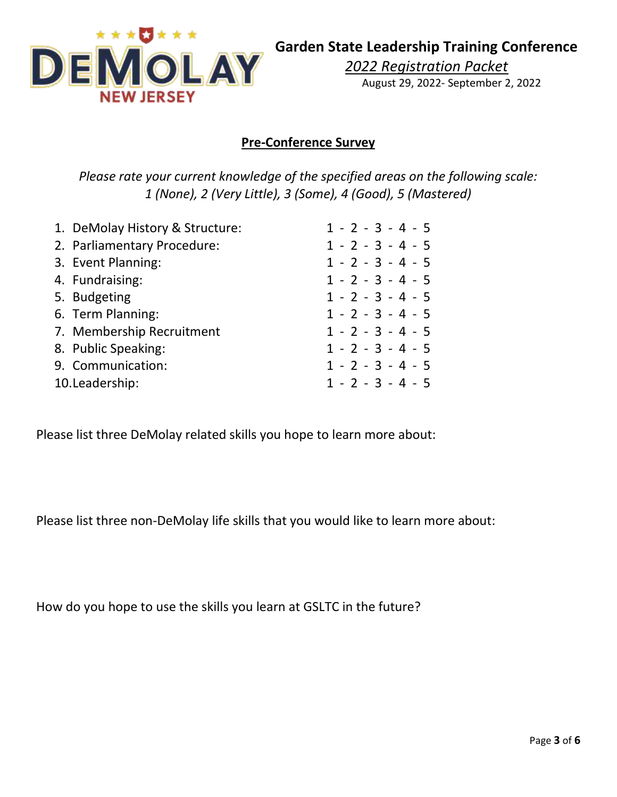

## **Pre-Conference Survey**

*Please rate your current knowledge of the specified areas on the following scale: 1 (None), 2 (Very Little), 3 (Some), 4 (Good), 5 (Mastered)*

| 1. DeMolay History & Structure: | $1 - 2 - 3 - 4 - 5$ |
|---------------------------------|---------------------|
| 2. Parliamentary Procedure:     | $1 - 2 - 3 - 4 - 5$ |
| 3. Event Planning:              | $1 - 2 - 3 - 4 - 5$ |
| 4. Fundraising:                 | $1 - 2 - 3 - 4 - 5$ |
| 5. Budgeting                    | $1 - 2 - 3 - 4 - 5$ |
| 6. Term Planning:               | $1 - 2 - 3 - 4 - 5$ |
| 7. Membership Recruitment       | $1 - 2 - 3 - 4 - 5$ |
| 8. Public Speaking:             | $1 - 2 - 3 - 4 - 5$ |
| 9. Communication:               | $1 - 2 - 3 - 4 - 5$ |
| 10. Leadership:                 | $1 - 2 - 3 - 4 - 5$ |
|                                 |                     |

Please list three DeMolay related skills you hope to learn more about:

Please list three non-DeMolay life skills that you would like to learn more about:

How do you hope to use the skills you learn at GSLTC in the future?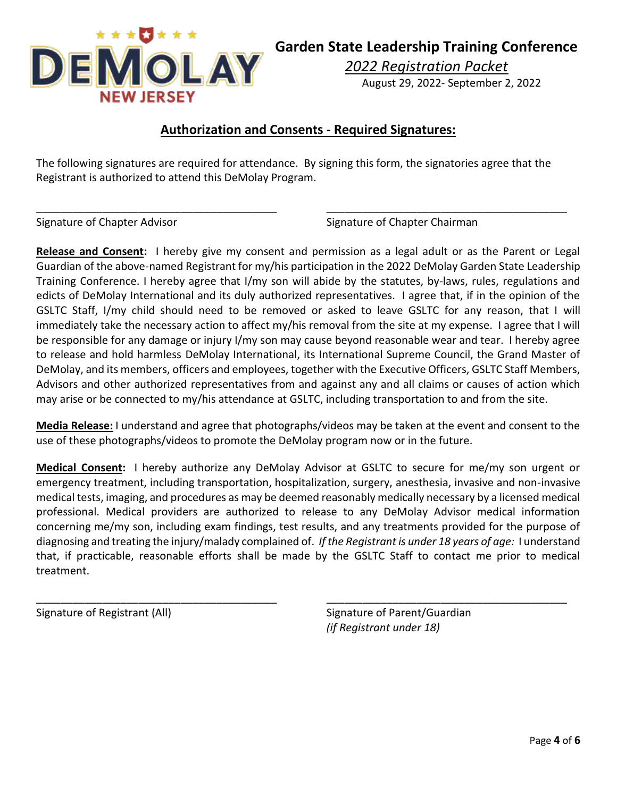

*2022 Registration Packet* August 29, 2022- September 2, 2022

# **Authorization and Consents - Required Signatures:**

The following signatures are required for attendance. By signing this form, the signatories agree that the Registrant is authorized to attend this DeMolay Program.

\_\_\_\_\_\_\_\_\_\_\_\_\_\_\_\_\_\_\_\_\_\_\_\_\_\_\_\_\_\_\_\_\_\_\_\_\_\_\_\_ \_\_\_\_\_\_\_\_\_\_\_\_\_\_\_\_\_\_\_\_\_\_\_\_\_\_\_\_\_\_\_\_\_\_\_\_\_\_\_\_

Signature of Chapter Advisor Signature of Chapter Chairman

**Release and Consent:** I hereby give my consent and permission as a legal adult or as the Parent or Legal Guardian of the above-named Registrant for my/his participation in the 2022 DeMolay Garden State Leadership Training Conference. I hereby agree that I/my son will abide by the statutes, by-laws, rules, regulations and edicts of DeMolay International and its duly authorized representatives. I agree that, if in the opinion of the GSLTC Staff, I/my child should need to be removed or asked to leave GSLTC for any reason, that I will immediately take the necessary action to affect my/his removal from the site at my expense. I agree that I will be responsible for any damage or injury I/my son may cause beyond reasonable wear and tear. I hereby agree to release and hold harmless DeMolay International, its International Supreme Council, the Grand Master of DeMolay, and its members, officers and employees, together with the Executive Officers, GSLTC Staff Members, Advisors and other authorized representatives from and against any and all claims or causes of action which may arise or be connected to my/his attendance at GSLTC, including transportation to and from the site.

**Media Release:** I understand and agree that photographs/videos may be taken at the event and consent to the use of these photographs/videos to promote the DeMolay program now or in the future.

**Medical Consent:** I hereby authorize any DeMolay Advisor at GSLTC to secure for me/my son urgent or emergency treatment, including transportation, hospitalization, surgery, anesthesia, invasive and non-invasive medical tests, imaging, and procedures as may be deemed reasonably medically necessary by a licensed medical professional. Medical providers are authorized to release to any DeMolay Advisor medical information concerning me/my son, including exam findings, test results, and any treatments provided for the purpose of diagnosing and treating the injury/malady complained of. *If the Registrant is under 18 years of age:* I understand that, if practicable, reasonable efforts shall be made by the GSLTC Staff to contact me prior to medical treatment.

\_\_\_\_\_\_\_\_\_\_\_\_\_\_\_\_\_\_\_\_\_\_\_\_\_\_\_\_\_\_\_\_\_\_\_\_\_\_\_\_ \_\_\_\_\_\_\_\_\_\_\_\_\_\_\_\_\_\_\_\_\_\_\_\_\_\_\_\_\_\_\_\_\_\_\_\_\_\_\_\_

Signature of Registrant (All) Signature of Parent/Guardian *(if Registrant under 18)*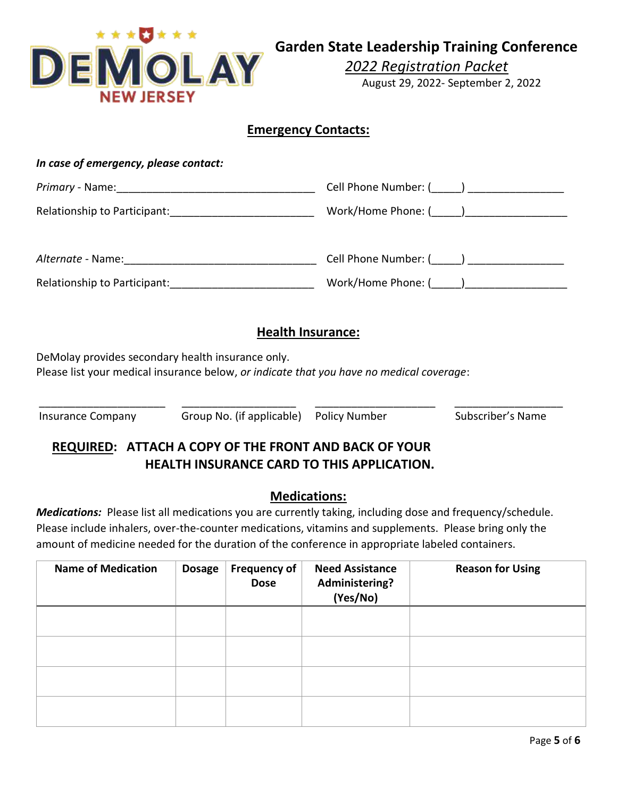

**Garden State Leadership Training Conference**

*2022 Registration Packet*

August 29, 2022- September 2, 2022

## **Emergency Contacts:**

| Cell Phone Number: (_____) _________________                                                                                                                                                              |  |  |  |  |  |
|-----------------------------------------------------------------------------------------------------------------------------------------------------------------------------------------------------------|--|--|--|--|--|
| Relationship to Participant: _______________________________                                                                                                                                              |  |  |  |  |  |
|                                                                                                                                                                                                           |  |  |  |  |  |
| Cell Phone Number: (_____) _________________                                                                                                                                                              |  |  |  |  |  |
|                                                                                                                                                                                                           |  |  |  |  |  |
|                                                                                                                                                                                                           |  |  |  |  |  |
| <b>Health Insurance:</b>                                                                                                                                                                                  |  |  |  |  |  |
|                                                                                                                                                                                                           |  |  |  |  |  |
| Please list your medical insurance below, or indicate that you have no medical coverage:                                                                                                                  |  |  |  |  |  |
| Insurance Company Group No. (if applicable) Policy Number<br>Subscriber's Name                                                                                                                            |  |  |  |  |  |
| <b>REQUIRED: ATTACH A COPY OF THE FRONT AND BACK OF YOUR</b>                                                                                                                                              |  |  |  |  |  |
| <b>HEALTH INSURANCE CARD TO THIS APPLICATION.</b>                                                                                                                                                         |  |  |  |  |  |
| <b>Medications:</b>                                                                                                                                                                                       |  |  |  |  |  |
| Medications: Please list all medications you are currently taking, including dose and frequency/schedule.                                                                                                 |  |  |  |  |  |
| Please include inhalers, over-the-counter medications, vitamins and supplements. Please bring only the<br>amount of medicine needed for the duration of the conference in appropriate labeled containers. |  |  |  |  |  |
|                                                                                                                                                                                                           |  |  |  |  |  |

| <b>Name of Medication</b> | <b>Dosage</b> | <b>Frequency of</b><br><b>Dose</b> | <b>Need Assistance</b><br>Administering?<br>(Yes/No) | <b>Reason for Using</b> |
|---------------------------|---------------|------------------------------------|------------------------------------------------------|-------------------------|
|                           |               |                                    |                                                      |                         |
|                           |               |                                    |                                                      |                         |
|                           |               |                                    |                                                      |                         |
|                           |               |                                    |                                                      |                         |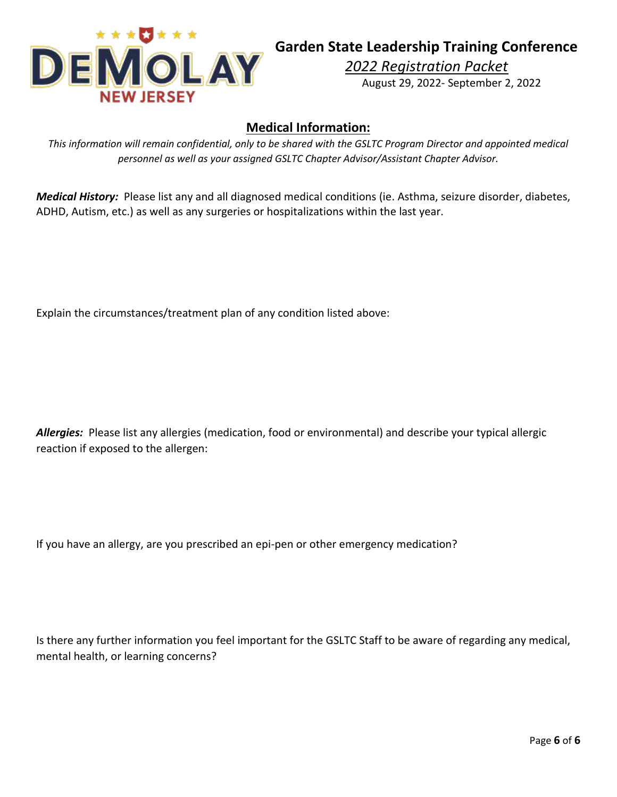

*2022 Registration Packet* August 29, 2022- September 2, 2022

## **Medical Information:**

*This information will remain confidential, only to be shared with the GSLTC Program Director and appointed medical personnel as well as your assigned GSLTC Chapter Advisor/Assistant Chapter Advisor.*

*Medical History:* Please list any and all diagnosed medical conditions (ie. Asthma, seizure disorder, diabetes, ADHD, Autism, etc.) as well as any surgeries or hospitalizations within the last year.

Explain the circumstances/treatment plan of any condition listed above:

*Allergies:* Please list any allergies (medication, food or environmental) and describe your typical allergic reaction if exposed to the allergen:

If you have an allergy, are you prescribed an epi-pen or other emergency medication?

Is there any further information you feel important for the GSLTC Staff to be aware of regarding any medical, mental health, or learning concerns?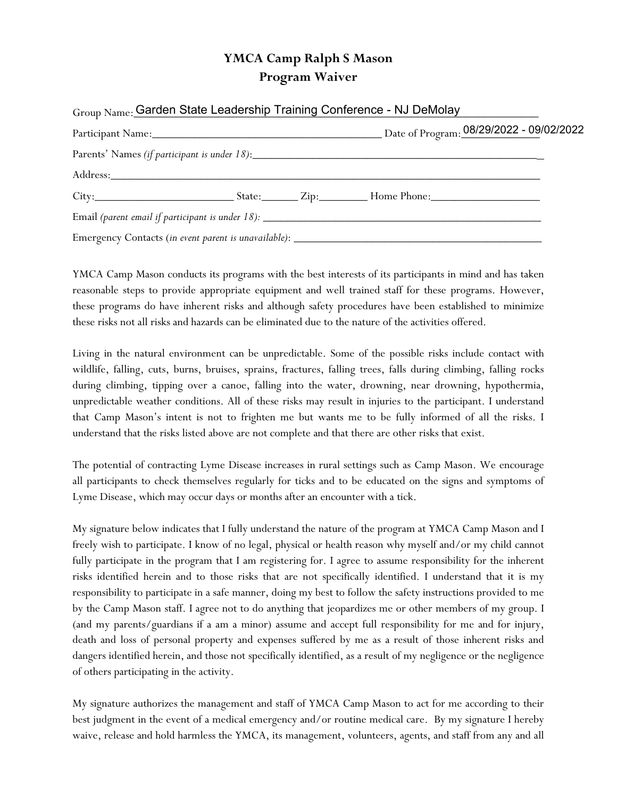## YMCA Camp Ralph S Mason Program Waiver

| Group Name: Garden State Leadership Training Conference - NJ DeMolay |  |  |
|----------------------------------------------------------------------|--|--|
|                                                                      |  |  |
|                                                                      |  |  |
|                                                                      |  |  |
|                                                                      |  |  |
|                                                                      |  |  |
|                                                                      |  |  |

YMCA Camp Mason conducts its programs with the best interests of its participants in mind and has taken reasonable steps to provide appropriate equipment and well trained staff for these programs. However, these programs do have inherent risks and although safety procedures have been established to minimize these risks not all risks and hazards can be eliminated due to the nature of the activities offered.

Living in the natural environment can be unpredictable. Some of the possible risks include contact with wildlife, falling, cuts, burns, bruises, sprains, fractures, falling trees, falls during climbing, falling rocks during climbing, tipping over a canoe, falling into the water, drowning, near drowning, hypothermia, unpredictable weather conditions. All of these risks may result in injuries to the participant. I understand that Camp Mason's intent is not to frighten me but wants me to be fully informed of all the risks. I understand that the risks listed above are not complete and that there are other risks that exist.

The potential of contracting Lyme Disease increases in rural settings such as Camp Mason. We encourage all participants to check themselves regularly for ticks and to be educated on the signs and symptoms of Lyme Disease, which may occur days or months after an encounter with a tick.

My signature below indicates that I fully understand the nature of the program at YMCA Camp Mason and I freely wish to participate. I know of no legal, physical or health reason why myself and/or my child cannot fully participate in the program that I am registering for. I agree to assume responsibility for the inherent risks identified herein and to those risks that are not specifically identified. I understand that it is my responsibility to participate in a safe manner, doing my best to follow the safety instructions provided to me by the Camp Mason staff. I agree not to do anything that jeopardizes me or other members of my group. I (and my parents/guardians if a am a minor) assume and accept full responsibility for me and for injury, death and loss of personal property and expenses suffered by me as a result of those inherent risks and dangers identified herein, and those not specifically identified, as a result of my negligence or the negligence of others participating in the activity.

My signature authorizes the management and staff of YMCA Camp Mason to act for me according to their best judgment in the event of a medical emergency and/or routine medical care. By my signature I hereby waive, release and hold harmless the YMCA, its management, volunteers, agents, and staff from any and all